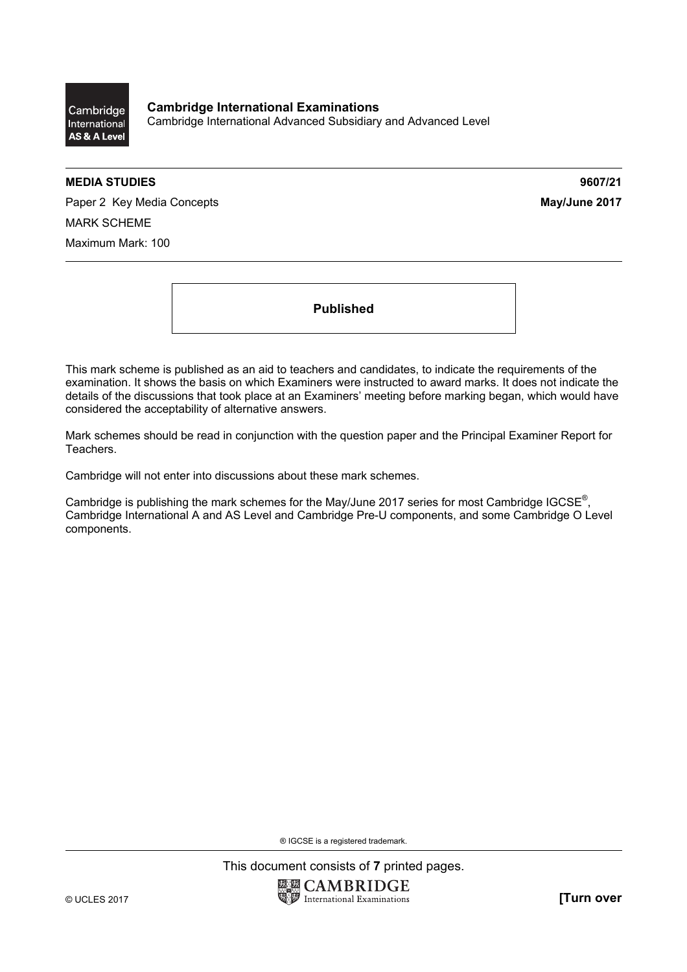

**Cambridge International Examinations**  Cambridge International Advanced Subsidiary and Advanced Level

## **MEDIA STUDIES 9607/21**

Paper 2 Key Media Concepts **May/June 2017** MARK SCHEME Maximum Mark: 100

**Published** 

This mark scheme is published as an aid to teachers and candidates, to indicate the requirements of the examination. It shows the basis on which Examiners were instructed to award marks. It does not indicate the details of the discussions that took place at an Examiners' meeting before marking began, which would have considered the acceptability of alternative answers.

Mark schemes should be read in conjunction with the question paper and the Principal Examiner Report for Teachers.

Cambridge will not enter into discussions about these mark schemes.

Cambridge is publishing the mark schemes for the May/June 2017 series for most Cambridge IGCSE<sup>®</sup>, Cambridge International A and AS Level and Cambridge Pre-U components, and some Cambridge O Level components.

® IGCSE is a registered trademark.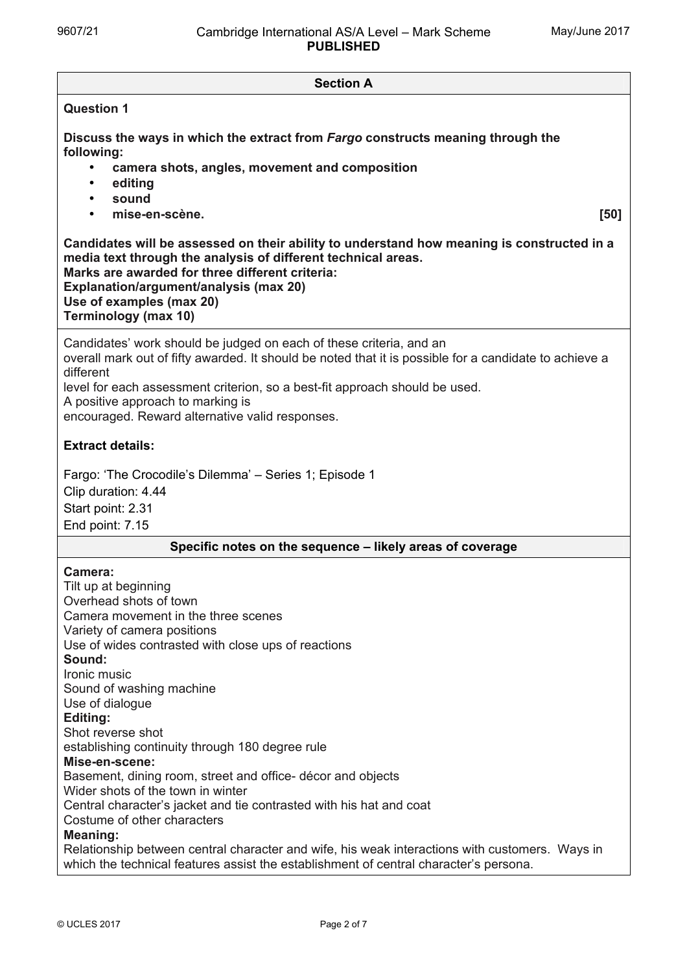**Section A Question 1 Discuss the ways in which the extract from** *Fargo* **constructs meaning through the following:** • **camera shots, angles, movement and composition** • **editing** • **sound** • **mise-en-scène. [50] Candidates will be assessed on their ability to understand how meaning is constructed in a media text through the analysis of different technical areas. Marks are awarded for three different criteria: Explanation/argument/analysis (max 20) Use of examples (max 20) Terminology (max 10)** Candidates' work should be judged on each of these criteria, and an overall mark out of fifty awarded. It should be noted that it is possible for a candidate to achieve a different level for each assessment criterion, so a best-fit approach should be used. A positive approach to marking is encouraged. Reward alternative valid responses. **Extract details:**  Fargo: 'The Crocodile's Dilemma' – Series 1; Episode 1 Clip duration: 4.44 Start point: 2.31 End point: 7.15 **Specific notes on the sequence – likely areas of coverage Camera:**  Tilt up at beginning Overhead shots of town Camera movement in the three scenes Variety of camera positions Use of wides contrasted with close ups of reactions **Sound:**  Ironic music Sound of washing machine Use of dialogue **Editing:**  Shot reverse shot establishing continuity through 180 degree rule **Mise-en-scene:**  Basement, dining room, street and office- décor and objects Wider shots of the town in winter Central character's jacket and tie contrasted with his hat and coat Costume of other characters **Meaning:** Relationship between central character and wife, his weak interactions with customers. Ways in which the technical features assist the establishment of central character's persona.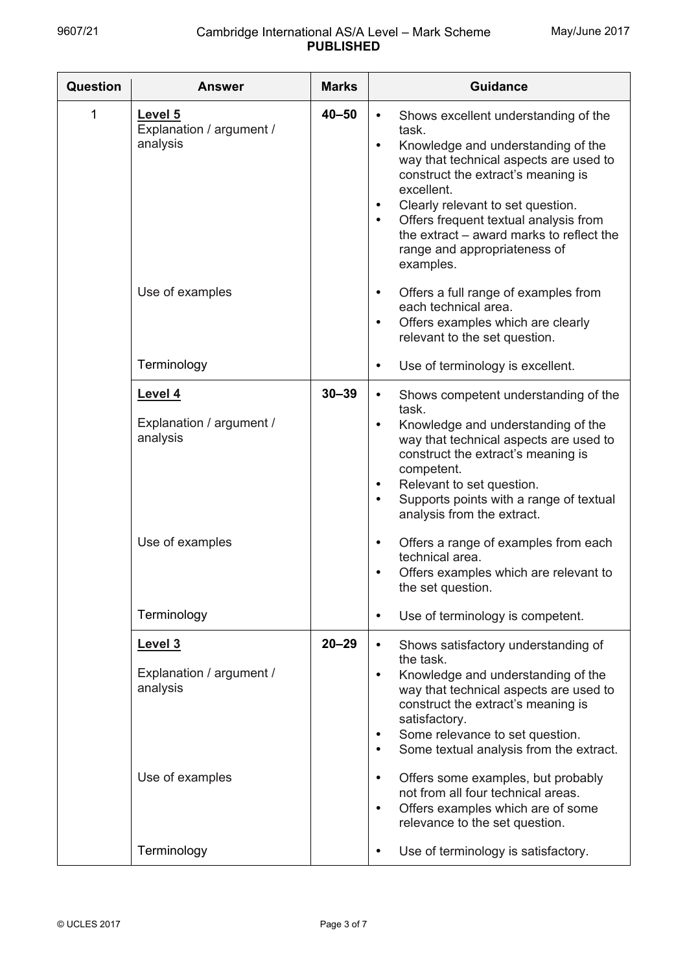| <b>Question</b> | <b>Answer</b>                                                      | <b>Marks</b> | <b>Guidance</b>                                                                                                                                                                                                                                                                                                                                                                                                                                                      |
|-----------------|--------------------------------------------------------------------|--------------|----------------------------------------------------------------------------------------------------------------------------------------------------------------------------------------------------------------------------------------------------------------------------------------------------------------------------------------------------------------------------------------------------------------------------------------------------------------------|
| 1               | Level 5<br>Explanation / argument /<br>analysis                    | $40 - 50$    | Shows excellent understanding of the<br>$\bullet$<br>task.<br>Knowledge and understanding of the<br>$\bullet$<br>way that technical aspects are used to<br>construct the extract's meaning is<br>excellent.<br>Clearly relevant to set question.<br>$\bullet$<br>Offers frequent textual analysis from<br>$\bullet$<br>the extract – award marks to reflect the<br>range and appropriateness of<br>examples.                                                         |
|                 | Use of examples                                                    |              | Offers a full range of examples from<br>$\bullet$<br>each technical area.<br>Offers examples which are clearly<br>$\bullet$<br>relevant to the set question.                                                                                                                                                                                                                                                                                                         |
|                 | Terminology                                                        |              | Use of terminology is excellent.<br>$\bullet$                                                                                                                                                                                                                                                                                                                                                                                                                        |
|                 | Level 4<br>Explanation / argument /<br>analysis                    | $30 - 39$    | Shows competent understanding of the<br>$\bullet$<br>task.<br>Knowledge and understanding of the<br>$\bullet$<br>way that technical aspects are used to<br>construct the extract's meaning is<br>competent.<br>Relevant to set question.<br>$\bullet$<br>Supports points with a range of textual<br>$\bullet$<br>analysis from the extract.                                                                                                                          |
|                 | Use of examples                                                    |              | Offers a range of examples from each<br>$\bullet$<br>technical area.<br>Offers examples which are relevant to<br>$\bullet$<br>the set question.                                                                                                                                                                                                                                                                                                                      |
|                 | Terminology                                                        |              | Use of terminology is competent.<br>$\bullet$                                                                                                                                                                                                                                                                                                                                                                                                                        |
|                 | Level 3<br>Explanation / argument /<br>analysis<br>Use of examples | $20 - 29$    | Shows satisfactory understanding of<br>$\bullet$<br>the task.<br>Knowledge and understanding of the<br>$\bullet$<br>way that technical aspects are used to<br>construct the extract's meaning is<br>satisfactory.<br>Some relevance to set question.<br>$\bullet$<br>Some textual analysis from the extract.<br>$\bullet$<br>Offers some examples, but probably<br>$\bullet$<br>not from all four technical areas.<br>Offers examples which are of some<br>$\bullet$ |
|                 | Terminology                                                        |              | relevance to the set question.<br>Use of terminology is satisfactory.<br>$\bullet$                                                                                                                                                                                                                                                                                                                                                                                   |
|                 |                                                                    |              |                                                                                                                                                                                                                                                                                                                                                                                                                                                                      |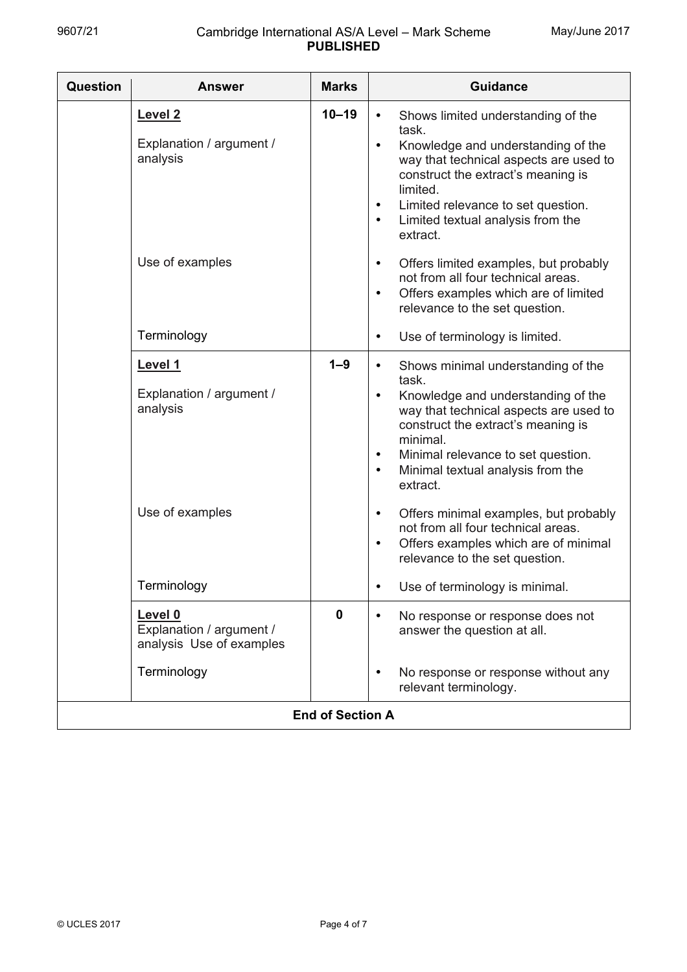| Question                | <b>Answer</b>                                                                  | <b>Marks</b> | <b>Guidance</b>                                                                                                                                                                                                                                                                                                                                                                                                      |
|-------------------------|--------------------------------------------------------------------------------|--------------|----------------------------------------------------------------------------------------------------------------------------------------------------------------------------------------------------------------------------------------------------------------------------------------------------------------------------------------------------------------------------------------------------------------------|
|                         | Level <sub>2</sub><br>Explanation / argument /<br>analysis                     | $10 - 19$    | Shows limited understanding of the<br>$\bullet$<br>task.<br>Knowledge and understanding of the<br>$\bullet$<br>way that technical aspects are used to<br>construct the extract's meaning is<br>limited.<br>Limited relevance to set question.<br>$\bullet$<br>Limited textual analysis from the<br>$\bullet$<br>extract.                                                                                             |
|                         | Use of examples                                                                |              | Offers limited examples, but probably<br>$\bullet$<br>not from all four technical areas.<br>Offers examples which are of limited<br>$\bullet$<br>relevance to the set question.                                                                                                                                                                                                                                      |
|                         | Terminology                                                                    |              | Use of terminology is limited.<br>$\bullet$                                                                                                                                                                                                                                                                                                                                                                          |
|                         | Level 1<br>Explanation / argument /<br>analysis<br>Use of examples             | $1 - 9$      | Shows minimal understanding of the<br>$\bullet$<br>task.<br>Knowledge and understanding of the<br>$\bullet$<br>way that technical aspects are used to<br>construct the extract's meaning is<br>minimal.<br>Minimal relevance to set question.<br>$\bullet$<br>Minimal textual analysis from the<br>$\bullet$<br>extract.<br>Offers minimal examples, but probably<br>$\bullet$<br>not from all four technical areas. |
|                         | Terminology                                                                    |              | Offers examples which are of minimal<br>$\bullet$<br>relevance to the set question.<br>Use of terminology is minimal.                                                                                                                                                                                                                                                                                                |
|                         | Level 0<br>Explanation / argument /<br>analysis Use of examples<br>Terminology | $\mathbf{0}$ | No response or response does not<br>answer the question at all.<br>No response or response without any<br>$\bullet$<br>relevant terminology.                                                                                                                                                                                                                                                                         |
| <b>End of Section A</b> |                                                                                |              |                                                                                                                                                                                                                                                                                                                                                                                                                      |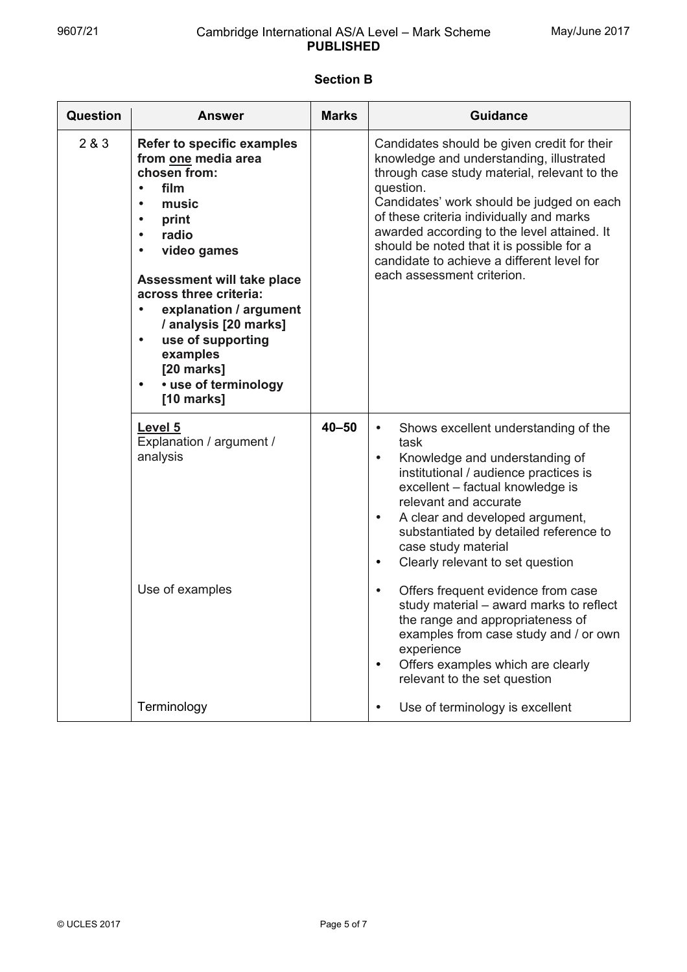## **Section B**

| <b>Question</b> | <b>Answer</b>                                                                                                                                                                                                                                                                                                                                                                                      | <b>Marks</b> | <b>Guidance</b>                                                                                                                                                                                                                                                                                                                                                                                                                                                                                                                                                                                                                                |
|-----------------|----------------------------------------------------------------------------------------------------------------------------------------------------------------------------------------------------------------------------------------------------------------------------------------------------------------------------------------------------------------------------------------------------|--------------|------------------------------------------------------------------------------------------------------------------------------------------------------------------------------------------------------------------------------------------------------------------------------------------------------------------------------------------------------------------------------------------------------------------------------------------------------------------------------------------------------------------------------------------------------------------------------------------------------------------------------------------------|
| 2 & 3           | <b>Refer to specific examples</b><br>from one media area<br>chosen from:<br>film<br>music<br>$\bullet$<br>print<br>$\bullet$<br>radio<br>$\bullet$<br>video games<br><b>Assessment will take place</b><br>across three criteria:<br>explanation / argument<br>/ analysis [20 marks]<br>use of supporting<br>$\bullet$<br>examples<br>[20 marks]<br>• use of terminology<br>$\bullet$<br>[10 marks] |              | Candidates should be given credit for their<br>knowledge and understanding, illustrated<br>through case study material, relevant to the<br>question.<br>Candidates' work should be judged on each<br>of these criteria individually and marks<br>awarded according to the level attained. It<br>should be noted that it is possible for a<br>candidate to achieve a different level for<br>each assessment criterion.                                                                                                                                                                                                                          |
|                 | Level 5<br>Explanation / argument /<br>analysis<br>Use of examples                                                                                                                                                                                                                                                                                                                                 | $40 - 50$    | Shows excellent understanding of the<br>$\bullet$<br>task<br>Knowledge and understanding of<br>institutional / audience practices is<br>excellent - factual knowledge is<br>relevant and accurate<br>A clear and developed argument,<br>$\bullet$<br>substantiated by detailed reference to<br>case study material<br>Clearly relevant to set question<br>$\bullet$<br>Offers frequent evidence from case<br>$\bullet$<br>study material – award marks to reflect<br>the range and appropriateness of<br>examples from case study and / or own<br>experience<br>Offers examples which are clearly<br>$\bullet$<br>relevant to the set question |
|                 | Terminology                                                                                                                                                                                                                                                                                                                                                                                        |              | Use of terminology is excellent                                                                                                                                                                                                                                                                                                                                                                                                                                                                                                                                                                                                                |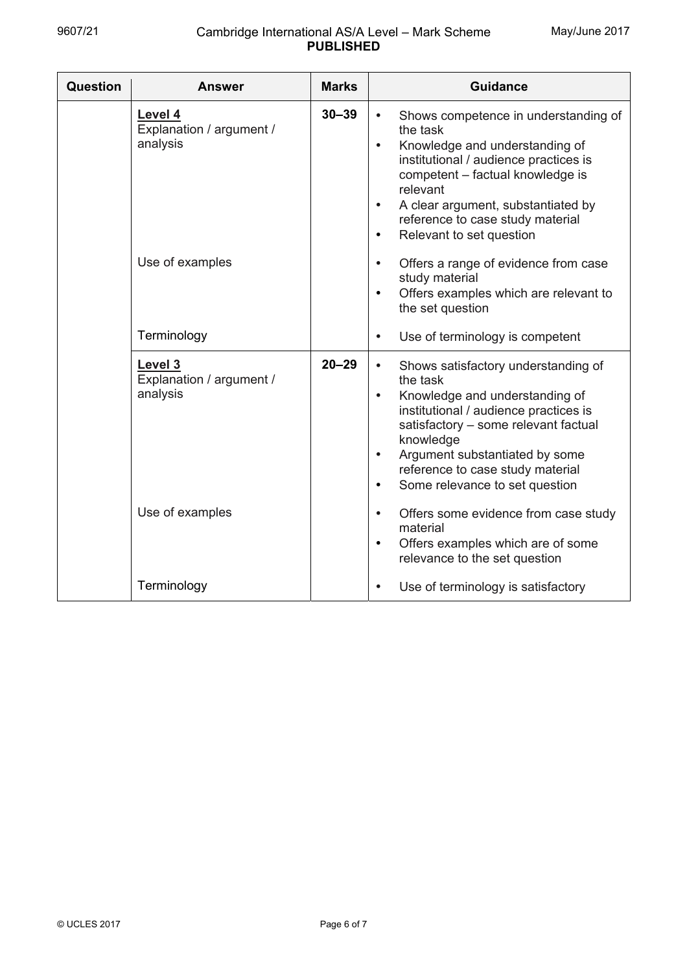| Question | <b>Answer</b>                                   | <b>Marks</b> | <b>Guidance</b>                                                                                                                                                                                                                                                                                                                             |
|----------|-------------------------------------------------|--------------|---------------------------------------------------------------------------------------------------------------------------------------------------------------------------------------------------------------------------------------------------------------------------------------------------------------------------------------------|
|          | Level 4<br>Explanation / argument /<br>analysis | $30 - 39$    | Shows competence in understanding of<br>$\bullet$<br>the task<br>Knowledge and understanding of<br>$\bullet$<br>institutional / audience practices is<br>competent - factual knowledge is<br>relevant<br>A clear argument, substantiated by<br>$\bullet$<br>reference to case study material<br>Relevant to set question<br>$\bullet$       |
|          | Use of examples                                 |              | Offers a range of evidence from case<br>$\bullet$<br>study material<br>Offers examples which are relevant to<br>$\bullet$<br>the set question                                                                                                                                                                                               |
|          | Terminology                                     |              | Use of terminology is competent<br>$\bullet$                                                                                                                                                                                                                                                                                                |
|          | Level 3<br>Explanation / argument /<br>analysis | $20 - 29$    | Shows satisfactory understanding of<br>$\bullet$<br>the task<br>Knowledge and understanding of<br>$\bullet$<br>institutional / audience practices is<br>satisfactory - some relevant factual<br>knowledge<br>Argument substantiated by some<br>$\bullet$<br>reference to case study material<br>Some relevance to set question<br>$\bullet$ |
|          | Use of examples                                 |              | Offers some evidence from case study<br>$\bullet$<br>material<br>Offers examples which are of some<br>$\bullet$<br>relevance to the set question                                                                                                                                                                                            |
|          | Terminology                                     |              | Use of terminology is satisfactory<br>$\bullet$                                                                                                                                                                                                                                                                                             |